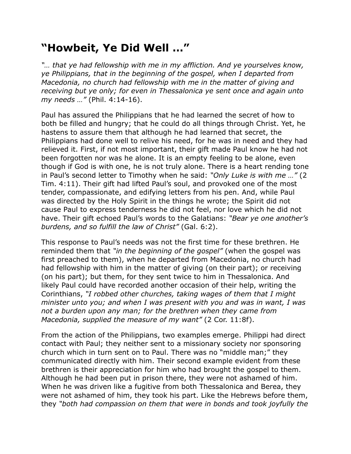## **"Howbeit, Ye Did Well …"**

*"… that ye had fellowship with me in my affliction. And ye yourselves know, ye Philippians, that in the beginning of the gospel, when I departed from Macedonia, no church had fellowship with me in the matter of giving and receiving but ye only; for even in Thessalonica ye sent once and again unto my needs …"* (Phil. 4:14-16).

Paul has assured the Philippians that he had learned the secret of how to both be filled and hungry; that he could do all things through Christ. Yet, he hastens to assure them that although he had learned that secret, the Philippians had done well to relive his need, for he was in need and they had relieved it. First, if not most important, their gift made Paul know he had not been forgotten nor was he alone. It is an empty feeling to be alone, even though if God is with one, he is not truly alone. There is a heart rending tone in Paul's second letter to Timothy when he said: *"Only Luke is with me …"* (2 Tim. 4:11). Their gift had lifted Paul's soul, and provoked one of the most tender, compassionate, and edifying letters from his pen. And, while Paul was directed by the Holy Spirit in the things he wrote; the Spirit did not cause Paul to express tenderness he did not feel, nor love which he did not have. Their gift echoed Paul's words to the Galatians: *"Bear ye one another's burdens, and so fulfill the law of Christ"* (Gal. 6:2).

This response to Paul's needs was not the first time for these brethren. He reminded them that *"in the beginning of the gospel"* (when the gospel was first preached to them), when he departed from Macedonia, no church had had fellowship with him in the matter of giving (on their part); or receiving (on his part); but them, for they sent twice to him in Thessalonica. And likely Paul could have recorded another occasion of their help, writing the Corinthians, *"I robbed other churches, taking wages of them that I might minister unto you; and when I was present with you and was in want, I was not a burden upon any man; for the brethren when they came from Macedonia, supplied the measure of my want"* (2 Cor. 11:8f).

From the action of the Philippians, two examples emerge. Philippi had direct contact with Paul; they neither sent to a missionary society nor sponsoring church which in turn sent on to Paul. There was no "middle man;" they communicated directly with him. Their second example evident from these brethren is their appreciation for him who had brought the gospel to them. Although he had been put in prison there, they were not ashamed of him. When he was driven like a fugitive from both Thessalonica and Berea, they were not ashamed of him, they took his part. Like the Hebrews before them, they *"both had compassion on them that were in bonds and took joyfully the*